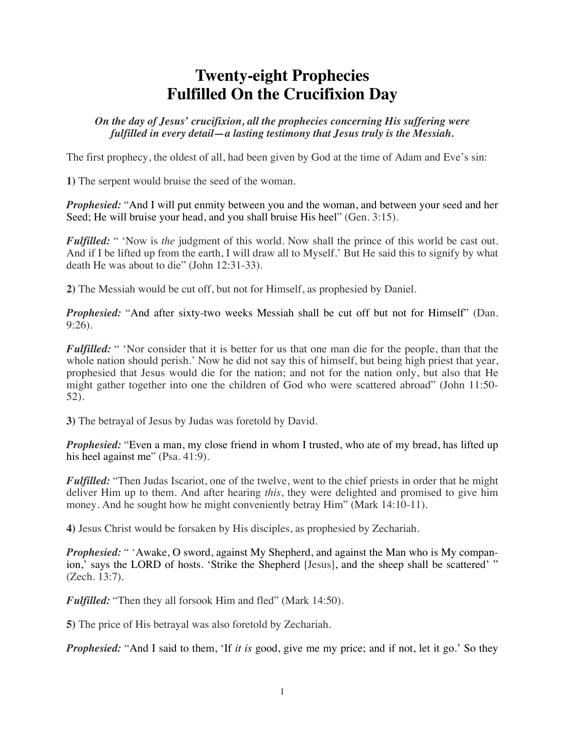## **Twenty-eight Prophecies Fulfilled On the Crucifixion Day**

*On the day of Jesus' crucifixion, all the prophecies concerning His suffering were fulfilled in every detail—a lasting testimony that Jesus truly is the Messiah.*

The first prophecy, the oldest of all, had been given by God at the time of Adam and Eve's sin:

**1)** The serpent would bruise the seed of the woman.

*Prophesied:* "And I will put enmity between you and the woman, and between your seed and her Seed; He will bruise your head, and you shall bruise His heel" (Gen. 3:15).

*Fulfilled:* " 'Now is *the* judgment of this world. Now shall the prince of this world be cast out. And if I be lifted up from the earth, I will draw all to Myself.' But He said this to signify by what death He was about to die" (John 12:31-33).

**2)** The Messiah would be cut off, but not for Himself, as prophesied by Daniel.

*Prophesied:* "And after sixty-two weeks Messiah shall be cut off but not for Himself" (Dan. 9:26).

*Fulfilled:* " 'Nor consider that it is better for us that one man die for the people, than that the whole nation should perish.' Now he did not say this of himself, but being high priest that year, prophesied that Jesus would die for the nation; and not for the nation only, but also that He might gather together into one the children of God who were scattered abroad" (John 11:50- 52).

**3)** The betrayal of Jesus by Judas was foretold by David.

*Prophesied:* "Even a man, my close friend in whom I trusted, who ate of my bread, has lifted up his heel against me" (Psa. 41:9).

*Fulfilled:* "Then Judas Iscariot, one of the twelve, went to the chief priests in order that he might deliver Him up to them. And after hearing *this*, they were delighted and promised to give him money. And he sought how he might conveniently betray Him" (Mark 14:10-11).

**4)** Jesus Christ would be forsaken by His disciples, as prophesied by Zechariah.

*Prophesied:* " 'Awake, O sword, against My Shepherd, and against the Man who is My companion,' says the LORD of hosts. 'Strike the Shepherd [Jesus], and the sheep shall be scattered' " (Zech. 13:7).

*Fulfilled:* "Then they all forsook Him and fled" (Mark 14:50).

**5)** The price of His betrayal was also foretold by Zechariah.

*Prophesied:* "And I said to them, 'If *it is* good, give me my price; and if not, let it go.' So they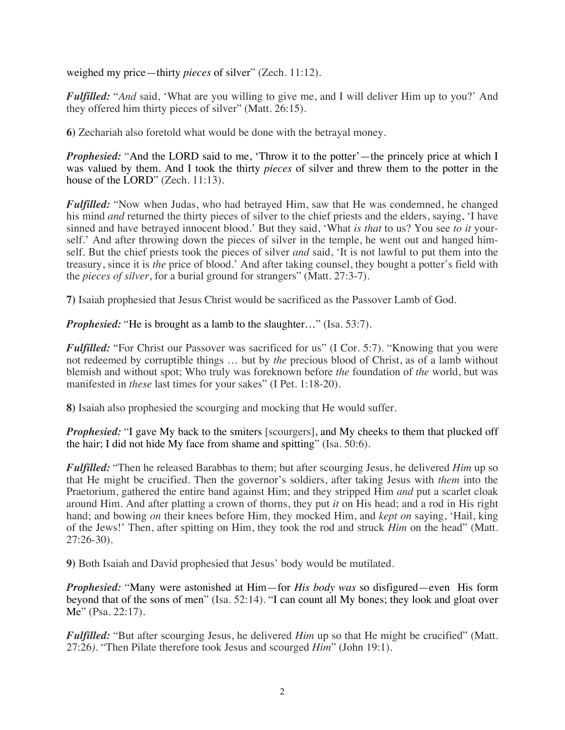weighed my price—thirty *pieces* of silver" (Zech. 11:12).

*Fulfilled:* "*And* said, 'What are you willing to give me, and I will deliver Him up to you?' And they offered him thirty pieces of silver" (Matt. 26:15).

**6)** Zechariah also foretold what would be done with the betrayal money.

*Prophesied:* "And the LORD said to me, 'Throw it to the potter'—the princely price at which I was valued by them. And I took the thirty *pieces* of silver and threw them to the potter in the house of the LORD" (Zech. 11:13).

*Fulfilled:* "Now when Judas, who had betrayed Him, saw that He was condemned, he changed his mind *and* returned the thirty pieces of silver to the chief priests and the elders, saying, 'I have sinned and have betrayed innocent blood.' But they said, 'What *is that* to us? You see *to it* yourself.' And after throwing down the pieces of silver in the temple, he went out and hanged himself. But the chief priests took the pieces of silver *and* said, 'It is not lawful to put them into the treasury, since it is *the* price of blood.' And after taking counsel, they bought a potter's field with the *pieces of silver*, for a burial ground for strangers" (Matt. 27:3-7).

**7)** Isaiah prophesied that Jesus Christ would be sacrificed as the Passover Lamb of God.

*Prophesied:* "He is brought as a lamb to the slaughter..." (Isa. 53:7).

*Fulfilled:* "For Christ our Passover was sacrificed for us" (I Cor. 5:7). "Knowing that you were not redeemed by corruptible things … but by *the* precious blood of Christ, as of a lamb without blemish and without spot; Who truly was foreknown before *the* foundation of *the* world, but was manifested in *these* last times for your sakes" (I Pet. 1:18-20).

**8)** Isaiah also prophesied the scourging and mocking that He would suffer.

*Prophesied:* "I gave My back to the smiters [scourgers], and My cheeks to them that plucked off the hair; I did not hide My face from shame and spitting" (Isa. 50:6).

*Fulfilled:* "Then he released Barabbas to them; but after scourging Jesus, he delivered *Him* up so that He might be crucified. Then the governor's soldiers, after taking Jesus with *them* into the Praetorium, gathered the entire band against Him; and they stripped Him *and* put a scarlet cloak around Him. And after platting a crown of thorns, they put *it* on His head; and a rod in His right hand; and bowing *on* their knees before Him, they mocked Him, and *kept on* saying, 'Hail, king of the Jews!' Then, after spitting on Him, they took the rod and struck *Him* on the head" (Matt. 27:26-30).

**9)** Both Isaiah and David prophesied that Jesus' body would be mutilated.

*Prophesied:* "Many were astonished at Him—for *His body was* so disfigured—even His form beyond that of the sons of men" (Isa. 52:14). "I can count all My bones; they look and gloat over Me" (Psa. 22:17).

*Fulfilled:* "But after scourging Jesus, he delivered *Him* up so that He might be crucified" (Matt. 27:26*).* "Then Pilate therefore took Jesus and scourged *Him*" (John 19:1).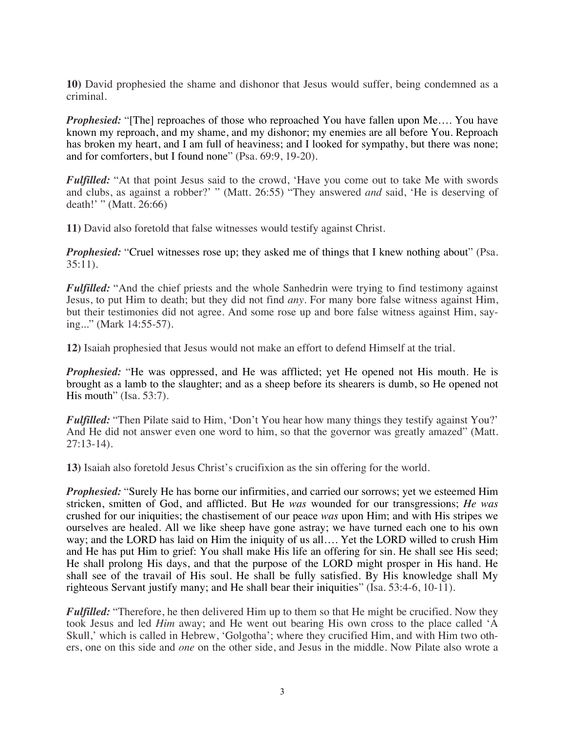**10)** David prophesied the shame and dishonor that Jesus would suffer, being condemned as a criminal.

*Prophesied:* "[The] reproaches of those who reproached You have fallen upon Me.... You have known my reproach, and my shame, and my dishonor; my enemies are all before You. Reproach has broken my heart, and I am full of heaviness; and I looked for sympathy, but there was none; and for comforters, but I found none" (Psa. 69:9, 19-20).

*Fulfilled:* "At that point Jesus said to the crowd, 'Have you come out to take Me with swords and clubs, as against a robber?' " (Matt. 26:55) "They answered *and* said, 'He is deserving of death!' " (Matt. 26:66)

**11)** David also foretold that false witnesses would testify against Christ.

*Prophesied:* "Cruel witnesses rose up; they asked me of things that I knew nothing about" (Psa. 35:11).

*Fulfilled:* "And the chief priests and the whole Sanhedrin were trying to find testimony against Jesus, to put Him to death; but they did not find *any*. For many bore false witness against Him, but their testimonies did not agree. And some rose up and bore false witness against Him, saying..." (Mark 14:55-57).

**12)** Isaiah prophesied that Jesus would not make an effort to defend Himself at the trial.

*Prophesied:* "He was oppressed, and He was afflicted; yet He opened not His mouth. He is brought as a lamb to the slaughter; and as a sheep before its shearers is dumb, so He opened not His mouth" (Isa. 53:7).

*Fulfilled:* "Then Pilate said to Him, 'Don't You hear how many things they testify against You?' And He did not answer even one word to him, so that the governor was greatly amazed" (Matt. 27:13-14).

**13)** Isaiah also foretold Jesus Christ's crucifixion as the sin offering for the world.

*Prophesied:* "Surely He has borne our infirmities, and carried our sorrows; yet we esteemed Him stricken, smitten of God, and afflicted. But He *was* wounded for our transgressions; *He was* crushed for our iniquities; the chastisement of our peace *was* upon Him; and with His stripes we ourselves are healed. All we like sheep have gone astray; we have turned each one to his own way; and the LORD has laid on Him the iniquity of us all…. Yet the LORD willed to crush Him and He has put Him to grief: You shall make His life an offering for sin. He shall see His seed; He shall prolong His days, and that the purpose of the LORD might prosper in His hand. He shall see of the travail of His soul. He shall be fully satisfied. By His knowledge shall My righteous Servant justify many; and He shall bear their iniquities" (Isa. 53:4-6, 10-11).

*Fulfilled:* "Therefore, he then delivered Him up to them so that He might be crucified. Now they took Jesus and led *Him* away; and He went out bearing His own cross to the place called 'A Skull,' which is called in Hebrew, 'Golgotha'; where they crucified Him, and with Him two others, one on this side and *one* on the other side, and Jesus in the middle. Now Pilate also wrote a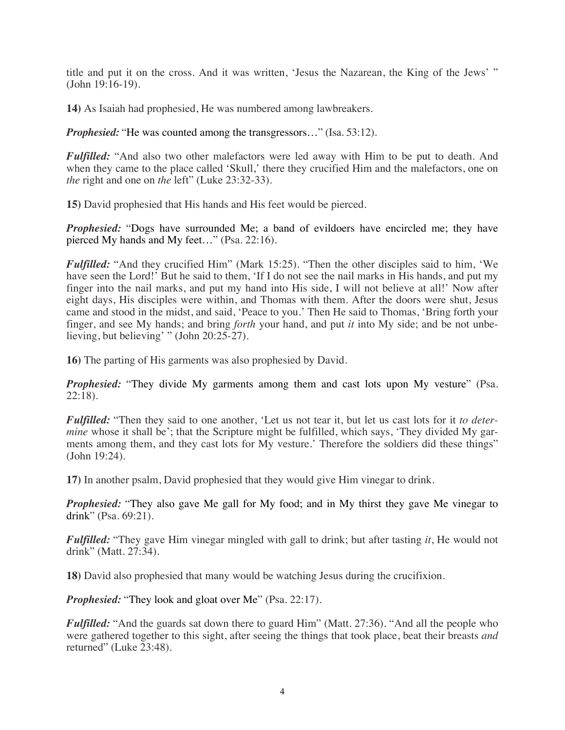title and put it on the cross. And it was written, 'Jesus the Nazarean, the King of the Jews' " (John 19:16-19).

**14)** As Isaiah had prophesied, He was numbered among lawbreakers.

*Prophesied:* "He was counted among the transgressors..." (Isa. 53:12).

*Fulfilled:* "And also two other malefactors were led away with Him to be put to death. And when they came to the place called 'Skull,' there they crucified Him and the malefactors, one on *the* right and one on *the* left" (Luke 23:32-33).

**15)** David prophesied that His hands and His feet would be pierced.

*Prophesied:* "Dogs have surrounded Me; a band of evildoers have encircled me; they have pierced My hands and My feet…" (Psa. 22:16).

*Fulfilled:* "And they crucified Him" (Mark 15:25). "Then the other disciples said to him, 'We have seen the Lord!' But he said to them, 'If I do not see the nail marks in His hands, and put my finger into the nail marks, and put my hand into His side, I will not believe at all!' Now after eight days, His disciples were within, and Thomas with them. After the doors were shut, Jesus came and stood in the midst, and said, 'Peace to you.' Then He said to Thomas, 'Bring forth your finger, and see My hands; and bring *forth* your hand, and put *it* into My side; and be not unbelieving, but believing' " (John 20:25-27).

**16)** The parting of His garments was also prophesied by David.

*Prophesied:* "They divide My garments among them and cast lots upon My vesture" (Psa. 22:18).

*Fulfilled:* "Then they said to one another, 'Let us not tear it, but let us cast lots for it *to determine* whose it shall be'; that the Scripture might be fulfilled, which says, 'They divided My garments among them, and they cast lots for My vesture.' Therefore the soldiers did these things" (John 19:24).

**17)** In another psalm, David prophesied that they would give Him vinegar to drink.

*Prophesied:* "They also gave Me gall for My food; and in My thirst they gave Me vinegar to drink" (Psa. 69:21).

*Fulfilled:* "They gave Him vinegar mingled with gall to drink; but after tasting *it*, He would not drink" (Matt. 27:34).

**18)** David also prophesied that many would be watching Jesus during the crucifixion.

*Prophesied:* "They look and gloat over Me" (Psa. 22:17).

*Fulfilled:* "And the guards sat down there to guard Him" (Matt. 27:36). "And all the people who were gathered together to this sight, after seeing the things that took place, beat their breasts *and*  returned" (Luke 23:48).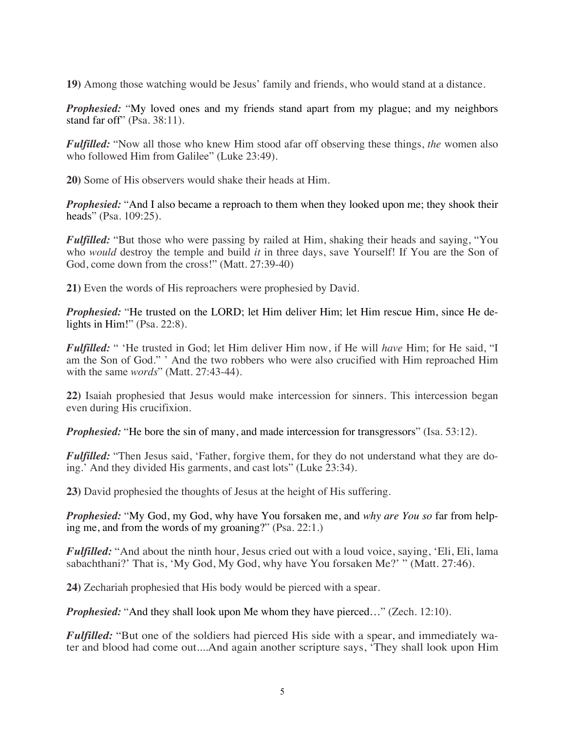**19)** Among those watching would be Jesus' family and friends, who would stand at a distance.

*Prophesied:* "My loved ones and my friends stand apart from my plague; and my neighbors stand far off" (Psa. 38:11).

*Fulfilled:* "Now all those who knew Him stood afar off observing these things, *the* women also who followed Him from Galilee" (Luke 23:49).

**20)** Some of His observers would shake their heads at Him.

*Prophesied:* "And I also became a reproach to them when they looked upon me; they shook their heads" (Psa. 109:25).

*Fulfilled:* "But those who were passing by railed at Him, shaking their heads and saying, "You who *would* destroy the temple and build *it* in three days, save Yourself! If You are the Son of God, come down from the cross!" (Matt. 27:39-40)

**21)** Even the words of His reproachers were prophesied by David.

*Prophesied:* "He trusted on the LORD; let Him deliver Him; let Him rescue Him, since He delights in Him!" (Psa. 22:8).

*Fulfilled:* " 'He trusted in God; let Him deliver Him now, if He will *have* Him; for He said, "I am the Son of God." ' And the two robbers who were also crucified with Him reproached Him with the same *words*" (Matt. 27:43-44).

**22)** Isaiah prophesied that Jesus would make intercession for sinners. This intercession began even during His crucifixion.

*Prophesied:* "He bore the sin of many, and made intercession for transgressors" (Isa. 53:12).

*Fulfilled:* "Then Jesus said, 'Father, forgive them, for they do not understand what they are doing.' And they divided His garments, and cast lots" (Luke 23:34).

**23)** David prophesied the thoughts of Jesus at the height of His suffering.

*Prophesied:* "My God, my God, why have You forsaken me, and *why are You so* far from helping me, and from the words of my groaning?" (Psa. 22:1.)

*Fulfilled:* "And about the ninth hour, Jesus cried out with a loud voice, saying, 'Eli, Eli, lama sabachthani?' That is, 'My God, My God, why have You forsaken Me?' " (Matt. 27:46).

**24)** Zechariah prophesied that His body would be pierced with a spear.

*Prophesied:* "And they shall look upon Me whom they have pierced..." (Zech. 12:10).

*Fulfilled:* "But one of the soldiers had pierced His side with a spear, and immediately water and blood had come out....And again another scripture says, 'They shall look upon Him